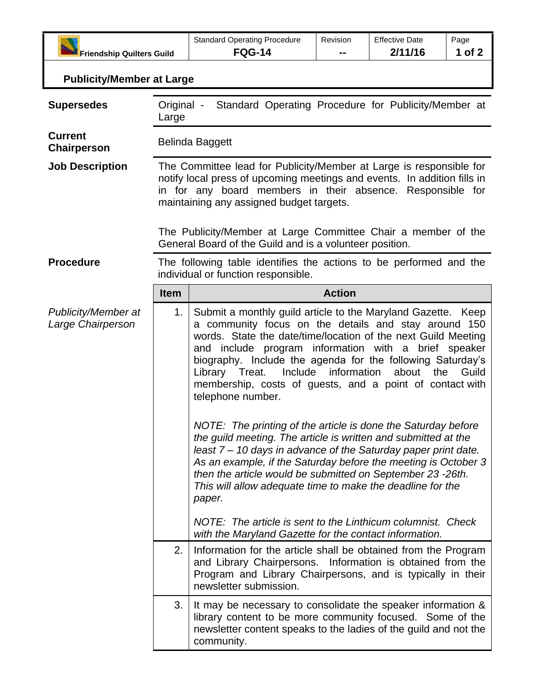| <b>Friendship Quilters Guild</b>         |                                                                                                                                                                                                                                                           | <b>Standard Operating Procedure</b><br><b>FQG-14</b>                                                                                                                                                                                                                                                                                                                                                                                                                                                                                                                                                                                                                                                                                                                                                                                                        | Revision | <b>Effective Date</b><br>2/11/16 | Page<br>1 of 2 |  |  |
|------------------------------------------|-----------------------------------------------------------------------------------------------------------------------------------------------------------------------------------------------------------------------------------------------------------|-------------------------------------------------------------------------------------------------------------------------------------------------------------------------------------------------------------------------------------------------------------------------------------------------------------------------------------------------------------------------------------------------------------------------------------------------------------------------------------------------------------------------------------------------------------------------------------------------------------------------------------------------------------------------------------------------------------------------------------------------------------------------------------------------------------------------------------------------------------|----------|----------------------------------|----------------|--|--|
| <b>Publicity/Member at Large</b>         |                                                                                                                                                                                                                                                           |                                                                                                                                                                                                                                                                                                                                                                                                                                                                                                                                                                                                                                                                                                                                                                                                                                                             |          |                                  |                |  |  |
|                                          |                                                                                                                                                                                                                                                           |                                                                                                                                                                                                                                                                                                                                                                                                                                                                                                                                                                                                                                                                                                                                                                                                                                                             |          |                                  |                |  |  |
| <b>Supersedes</b>                        | Original -<br>Standard Operating Procedure for Publicity/Member at<br>Large                                                                                                                                                                               |                                                                                                                                                                                                                                                                                                                                                                                                                                                                                                                                                                                                                                                                                                                                                                                                                                                             |          |                                  |                |  |  |
| <b>Current</b><br>Chairperson            | <b>Belinda Baggett</b>                                                                                                                                                                                                                                    |                                                                                                                                                                                                                                                                                                                                                                                                                                                                                                                                                                                                                                                                                                                                                                                                                                                             |          |                                  |                |  |  |
| <b>Job Description</b>                   | The Committee lead for Publicity/Member at Large is responsible for<br>notify local press of upcoming meetings and events. In addition fills in<br>in for any board members in their absence. Responsible for<br>maintaining any assigned budget targets. |                                                                                                                                                                                                                                                                                                                                                                                                                                                                                                                                                                                                                                                                                                                                                                                                                                                             |          |                                  |                |  |  |
|                                          |                                                                                                                                                                                                                                                           | The Publicity/Member at Large Committee Chair a member of the<br>General Board of the Guild and is a volunteer position.                                                                                                                                                                                                                                                                                                                                                                                                                                                                                                                                                                                                                                                                                                                                    |          |                                  |                |  |  |
| <b>Procedure</b>                         |                                                                                                                                                                                                                                                           | The following table identifies the actions to be performed and the<br>individual or function responsible.                                                                                                                                                                                                                                                                                                                                                                                                                                                                                                                                                                                                                                                                                                                                                   |          |                                  |                |  |  |
|                                          | <b>Item</b>                                                                                                                                                                                                                                               | <b>Action</b>                                                                                                                                                                                                                                                                                                                                                                                                                                                                                                                                                                                                                                                                                                                                                                                                                                               |          |                                  |                |  |  |
| Publicity/Member at<br>Large Chairperson | 1.                                                                                                                                                                                                                                                        | Submit a monthly guild article to the Maryland Gazette. Keep<br>a community focus on the details and stay around 150<br>words. State the date/time/location of the next Guild Meeting<br>and include program information with a brief speaker<br>biography. Include the agenda for the following Saturday's<br>Include<br>information<br>about<br>the<br>Library Treat.<br>membership, costs of guests, and a point of contact with<br>telephone number.<br>NOTE: The printing of the article is done the Saturday before<br>the guild meeting. The article is written and submitted at the<br>least 7 – 10 days in advance of the Saturday paper print date.<br>As an example, if the Saturday before the meeting is October 3<br>then the article would be submitted on September 23 -26th.<br>This will allow adequate time to make the deadline for the |          |                                  | Guild          |  |  |
|                                          |                                                                                                                                                                                                                                                           | paper.<br>NOTE: The article is sent to the Linthicum columnist. Check<br>with the Maryland Gazette for the contact information.                                                                                                                                                                                                                                                                                                                                                                                                                                                                                                                                                                                                                                                                                                                             |          |                                  |                |  |  |
|                                          | 2.                                                                                                                                                                                                                                                        | Information for the article shall be obtained from the Program<br>and Library Chairpersons. Information is obtained from the<br>Program and Library Chairpersons, and is typically in their<br>newsletter submission.                                                                                                                                                                                                                                                                                                                                                                                                                                                                                                                                                                                                                                       |          |                                  |                |  |  |
|                                          | 3.                                                                                                                                                                                                                                                        | It may be necessary to consolidate the speaker information &<br>library content to be more community focused. Some of the<br>newsletter content speaks to the ladies of the guild and not the<br>community.                                                                                                                                                                                                                                                                                                                                                                                                                                                                                                                                                                                                                                                 |          |                                  |                |  |  |